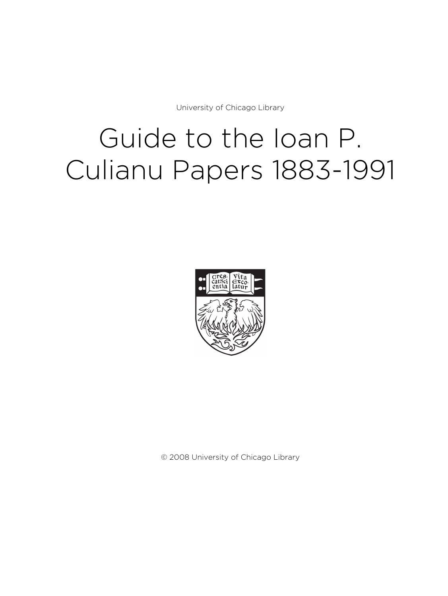University of Chicago Library

# Guide to the Ioan P. Culianu Papers 1883-1991



© 2008 University of Chicago Library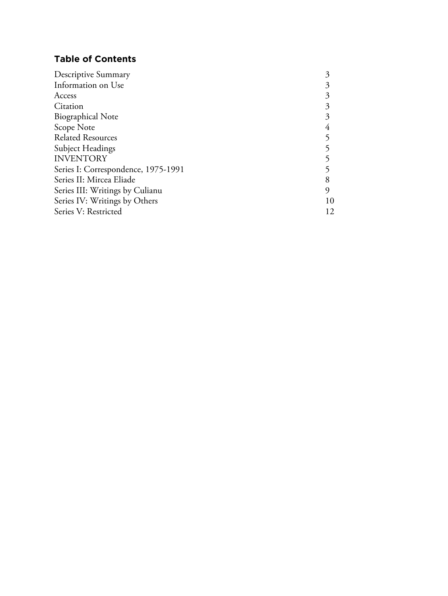# **Table of Contents**

| 10 |
|----|
| 12 |
|    |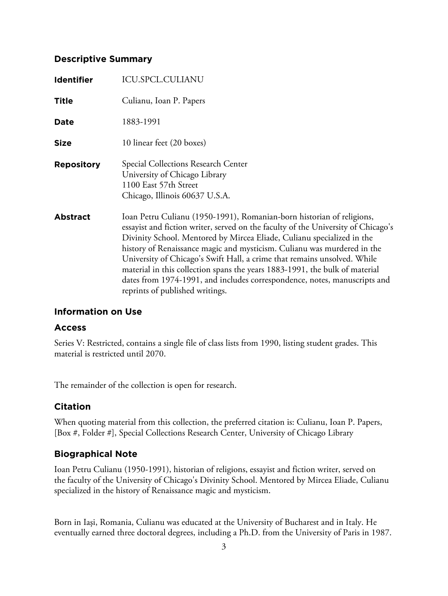# **Descriptive Summary**

| <b>Identifier</b> | <b>ICU.SPCL.CULIANU</b>                                                                                                                                                                                                                                                                                                                                                                                                                                                                                                                                                                    |
|-------------------|--------------------------------------------------------------------------------------------------------------------------------------------------------------------------------------------------------------------------------------------------------------------------------------------------------------------------------------------------------------------------------------------------------------------------------------------------------------------------------------------------------------------------------------------------------------------------------------------|
| <b>Title</b>      | Culianu, Ioan P. Papers                                                                                                                                                                                                                                                                                                                                                                                                                                                                                                                                                                    |
| Date              | 1883-1991                                                                                                                                                                                                                                                                                                                                                                                                                                                                                                                                                                                  |
| <b>Size</b>       | 10 linear feet (20 boxes)                                                                                                                                                                                                                                                                                                                                                                                                                                                                                                                                                                  |
| <b>Repository</b> | Special Collections Research Center<br>University of Chicago Library<br>1100 East 57th Street<br>Chicago, Illinois 60637 U.S.A.                                                                                                                                                                                                                                                                                                                                                                                                                                                            |
| <b>Abstract</b>   | Ioan Petru Culianu (1950-1991), Romanian-born historian of religions,<br>essayist and fiction writer, served on the faculty of the University of Chicago's<br>Divinity School. Mentored by Mircea Eliade, Culianu specialized in the<br>history of Renaissance magic and mysticism. Culianu was murdered in the<br>University of Chicago's Swift Hall, a crime that remains unsolved. While<br>material in this collection spans the years 1883-1991, the bulk of material<br>dates from 1974-1991, and includes correspondence, notes, manuscripts and<br>reprints of published writings. |

# **Information on Use**

# **Access**

Series V: Restricted, contains a single file of class lists from 1990, listing student grades. This material is restricted until 2070.

The remainder of the collection is open for research.

# **Citation**

When quoting material from this collection, the preferred citation is: Culianu, Ioan P. Papers, [Box #, Folder #], Special Collections Research Center, University of Chicago Library

# **Biographical Note**

Ioan Petru Culianu (1950-1991), historian of religions, essayist and fiction writer, served on the faculty of the University of Chicago's Divinity School. Mentored by Mircea Eliade, Culianu specialized in the history of Renaissance magic and mysticism.

Born in Iaşi, Romania, Culianu was educated at the University of Bucharest and in Italy. He eventually earned three doctoral degrees, including a Ph.D. from the University of Paris in 1987.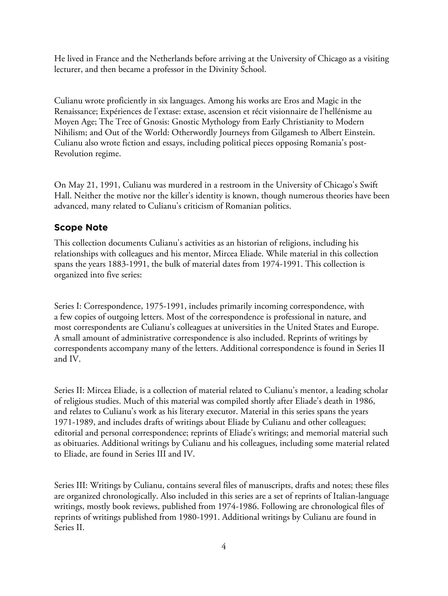He lived in France and the Netherlands before arriving at the University of Chicago as a visiting lecturer, and then became a professor in the Divinity School.

Culianu wrote proficiently in six languages. Among his works are Eros and Magic in the Renaissance; Expériences de l'extase: extase, ascension et récit visionnaire de l'hellénisme au Moyen Age; The Tree of Gnosis: Gnostic Mythology from Early Christianity to Modern Nihilism; and Out of the World: Otherwordly Journeys from Gilgamesh to Albert Einstein. Culianu also wrote fiction and essays, including political pieces opposing Romania's post-Revolution regime.

On May 21, 1991, Culianu was murdered in a restroom in the University of Chicago's Swift Hall. Neither the motive nor the killer's identity is known, though numerous theories have been advanced, many related to Culianu's criticism of Romanian politics.

# **Scope Note**

This collection documents Culianu's activities as an historian of religions, including his relationships with colleagues and his mentor, Mircea Eliade. While material in this collection spans the years 1883-1991, the bulk of material dates from 1974-1991. This collection is organized into five series:

Series I: Correspondence, 1975-1991, includes primarily incoming correspondence, with a few copies of outgoing letters. Most of the correspondence is professional in nature, and most correspondents are Culianu's colleagues at universities in the United States and Europe. A small amount of administrative correspondence is also included. Reprints of writings by correspondents accompany many of the letters. Additional correspondence is found in Series II and IV.

Series II: Mircea Eliade, is a collection of material related to Culianu's mentor, a leading scholar of religious studies. Much of this material was compiled shortly after Eliade's death in 1986, and relates to Culianu's work as his literary executor. Material in this series spans the years 1971-1989, and includes drafts of writings about Eliade by Culianu and other colleagues; editorial and personal correspondence; reprints of Eliade's writings; and memorial material such as obituaries. Additional writings by Culianu and his colleagues, including some material related to Eliade, are found in Series III and IV.

Series III: Writings by Culianu, contains several files of manuscripts, drafts and notes; these files are organized chronologically. Also included in this series are a set of reprints of Italian-language writings, mostly book reviews, published from 1974-1986. Following are chronological files of reprints of writings published from 1980-1991. Additional writings by Culianu are found in Series II.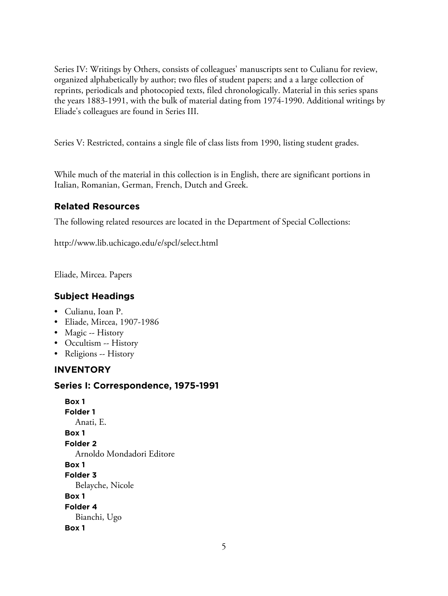Series IV: Writings by Others, consists of colleagues' manuscripts sent to Culianu for review, organized alphabetically by author; two files of student papers; and a a large collection of reprints, periodicals and photocopied texts, filed chronologically. Material in this series spans the years 1883-1991, with the bulk of material dating from 1974-1990. Additional writings by Eliade's colleagues are found in Series III.

Series V: Restricted, contains a single file of class lists from 1990, listing student grades.

While much of the material in this collection is in English, there are significant portions in Italian, Romanian, German, French, Dutch and Greek.

# **Related Resources**

The following related resources are located in the Department of Special Collections:

http://www.lib.uchicago.edu/e/spcl/select.html

Eliade, Mircea. Papers

# **Subject Headings**

- Culianu, Ioan P.
- Eliade, Mircea, 1907-1986
- Magic -- History
- Occultism -- History
- Religions -- History

# **INVENTORY**

# **Series I: Correspondence, 1975-1991**

**Box 1 Folder 1** Anati, E. **Box 1 Folder 2** Arnoldo Mondadori Editore **Box 1 Folder 3** Belayche, Nicole **Box 1 Folder 4** Bianchi, Ugo **Box 1**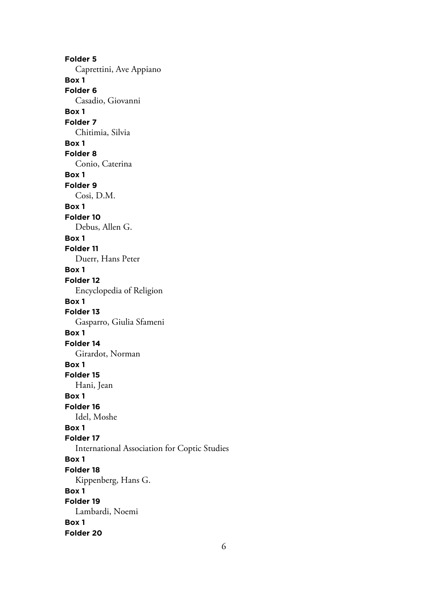**Folder 5** Caprettini, Ave Appiano **Box 1 Folder 6** Casadio, Giovanni **Box 1 Folder 7** Chitimia, Silvia **Box 1 Folder 8** Conio, Caterina **Box 1 Folder 9** Cosi, D.M. **Box 1 Folder 10** Debus, Allen G. **Box 1 Folder 11** Duerr, Hans Peter **Box 1 Folder 12** Encyclopedia of Religion **Box 1 Folder 13** Gasparro, Giulia Sfameni **Box 1 Folder 14** Girardot, Norman **Box 1 Folder 15** Hani, Jean **Box 1 Folder 16** Idel, Moshe **Box 1 Folder 17** International Association for Coptic Studies **Box 1 Folder 18** Kippenberg, Hans G. **Box 1 Folder 19** Lambardi, Noemi **Box 1 Folder 20**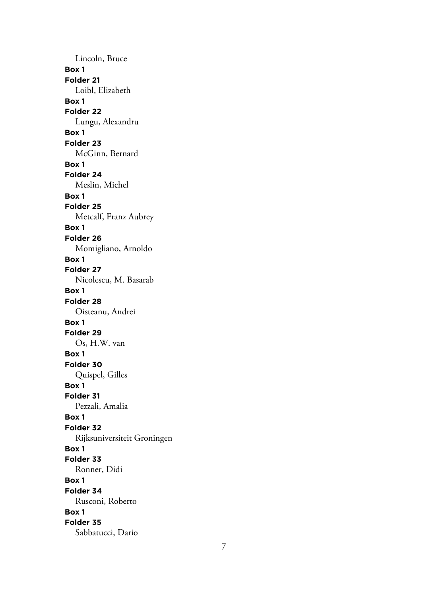Lincoln, Bruce **Box 1 Folder 21** Loibl, Elizabeth **Box 1 Folder 22** Lungu, Alexandru **Box 1 Folder 23** McGinn, Bernard **Box 1 Folder 24** Meslin, Michel **Box 1 Folder 25** Metcalf, Franz Aubrey **Box 1 Folder 26** Momigliano, Arnoldo **Box 1 Folder 27** Nicolescu, M. Basarab **Box 1 Folder 28** Oisteanu, Andrei **Box 1 Folder 29** Os, H.W. van **Box 1 Folder 30** Quispel, Gilles **Box 1 Folder 31** Pezzali, Amalia **Box 1 Folder 32** Rijksuniversiteit Groningen **Box 1 Folder 33** Ronner, Didi **Box 1 Folder 34** Rusconi, Roberto **Box 1 Folder 35** Sabbatucci, Dario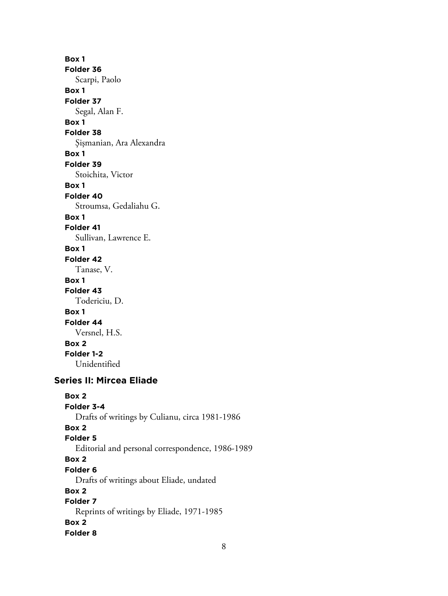**Box 1 Folder 36** Scarpi, Paolo **Box 1 Folder 37** Segal, Alan F. **Box 1 Folder 38** Şişmanian, Ara Alexandra **Box 1 Folder 39** Stoichita, Victor **Box 1 Folder 40** Stroumsa, Gedaliahu G. **Box 1 Folder 41** Sullivan, Lawrence E. **Box 1 Folder 42** Tanase, V. **Box 1 Folder 43** Todericiu, D. **Box 1 Folder 44** Versnel, H.S. **Box 2 Folder 1-2** Unidentified **Series II: Mircea Eliade Box 2 Folder 3-4** Drafts of writings by Culianu, circa 1981-1986 **Box 2 Folder 5** Editorial and personal correspondence, 1986-1989 **Box 2 Folder 6**

Drafts of writings about Eliade, undated **Box 2**

**Folder 7** Reprints of writings by Eliade, 1971-1985 **Box 2 Folder 8**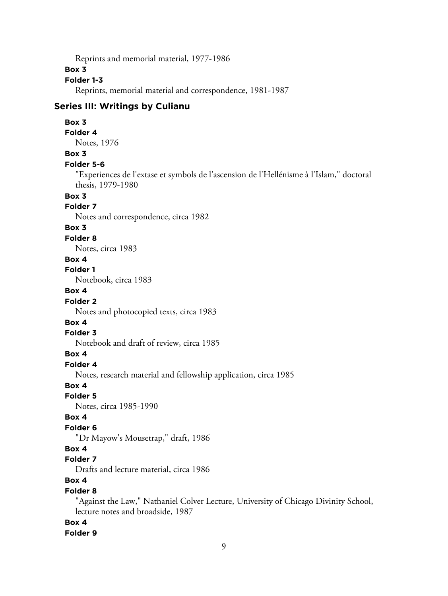Reprints and memorial material, 1977-1986

# **Box 3**

# **Folder 1-3**

Reprints, memorial material and correspondence, 1981-1987

# **Series III: Writings by Culianu**

#### **Box 3**

#### **Folder 4**

Notes, 1976

# **Box 3**

#### **Folder 5-6**

"Experiences de l'extase et symbols de l'ascension de l'Hellénisme à l'Islam," doctoral thesis, 1979-1980

# **Box 3**

# **Folder 7**

Notes and correspondence, circa 1982

## **Box 3**

#### **Folder 8**

Notes, circa 1983

# **Box 4**

**Folder 1**

Notebook, circa 1983

# **Box 4**

#### **Folder 2**

Notes and photocopied texts, circa 1983

#### **Box 4**

#### **Folder 3**

Notebook and draft of review, circa 1985

#### **Box 4**

# **Folder 4**

Notes, research material and fellowship application, circa 1985

#### **Box 4**

**Folder 5**

Notes, circa 1985-1990

#### **Box 4**

# **Folder 6**

"Dr Mayow's Mousetrap," draft, 1986

# **Box 4**

# **Folder 7**

Drafts and lecture material, circa 1986

# **Box 4**

#### **Folder 8**

"Against the Law," Nathaniel Colver Lecture, University of Chicago Divinity School, lecture notes and broadside, 1987

# **Box 4**

#### **Folder 9**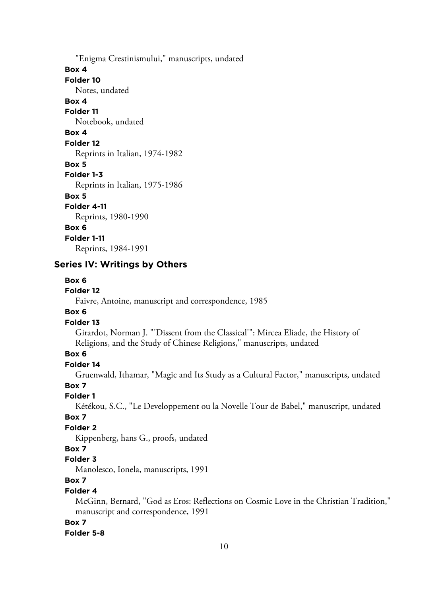"Enigma Crestinismului," manuscripts, undated **Box 4 Folder 10** Notes, undated **Box 4 Folder 11** Notebook, undated **Box 4 Folder 12** Reprints in Italian, 1974-1982 **Box 5 Folder 1-3** Reprints in Italian, 1975-1986 **Box 5 Folder 4-11** Reprints, 1980-1990 **Box 6 Folder 1-11** Reprints, 1984-1991

## **Series IV: Writings by Others**

#### **Box 6**

# **Folder 12**

Faivre, Antoine, manuscript and correspondence, 1985

## **Box 6**

## **Folder 13**

Girardot, Norman J. "'Dissent from the Classical'": Mircea Eliade, the History of Religions, and the Study of Chinese Religions," manuscripts, undated

# **Box 6**

# **Folder 14**

Gruenwald, Ithamar, "Magic and Its Study as a Cultural Factor," manuscripts, undated

## **Box 7**

**Folder 1**

Kétékou, S.C., "Le Developpement ou la Novelle Tour de Babel," manuscript, undated

# **Box 7**

# **Folder 2**

Kippenberg, hans G., proofs, undated

#### **Box 7**

#### **Folder 3**

Manolesco, Ionela, manuscripts, 1991

# **Box 7**

#### **Folder 4**

McGinn, Bernard, "God as Eros: Reflections on Cosmic Love in the Christian Tradition," manuscript and correspondence, 1991

#### **Box 7**

#### **Folder 5-8**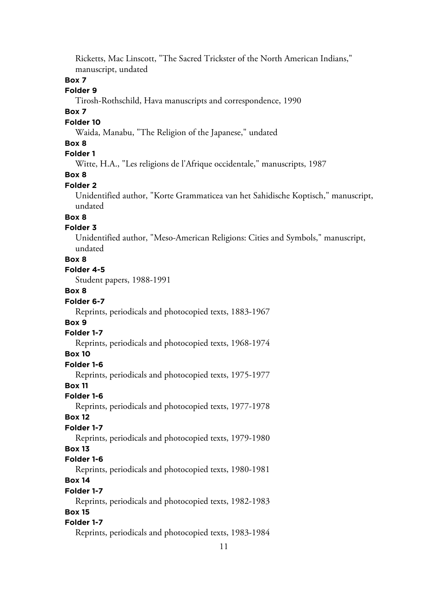Ricketts, Mac Linscott, "The Sacred Trickster of the North American Indians," manuscript, undated

# **Box 7**

# **Folder 9**

Tirosh-Rothschild, Hava manuscripts and correspondence, 1990

## **Box 7**

## **Folder 10**

Waida, Manabu, "The Religion of the Japanese," undated

## **Box 8**

# **Folder 1**

Witte, H.A., "Les religions de l'Afrique occidentale," manuscripts, 1987

# **Box 8**

## **Folder 2**

Unidentified author, "Korte Grammaticea van het Sahidische Koptisch," manuscript, undated

# **Box 8**

# **Folder 3**

Unidentified author, "Meso-American Religions: Cities and Symbols," manuscript, undated

## **Box 8**

## **Folder 4-5**

Student papers, 1988-1991

# **Box 8**

## **Folder 6-7**

Reprints, periodicals and photocopied texts, 1883-1967

## **Box 9**

#### **Folder 1-7**

Reprints, periodicals and photocopied texts, 1968-1974

#### **Box 10**

#### **Folder 1-6**

Reprints, periodicals and photocopied texts, 1975-1977

## **Box 11**

#### **Folder 1-6**

Reprints, periodicals and photocopied texts, 1977-1978

#### **Box 12**

# **Folder 1-7**

Reprints, periodicals and photocopied texts, 1979-1980

# **Box 13**

# **Folder 1-6**

Reprints, periodicals and photocopied texts, 1980-1981

# **Box 14**

#### **Folder 1-7**

Reprints, periodicals and photocopied texts, 1982-1983

# **Box 15**

# **Folder 1-7**

Reprints, periodicals and photocopied texts, 1983-1984